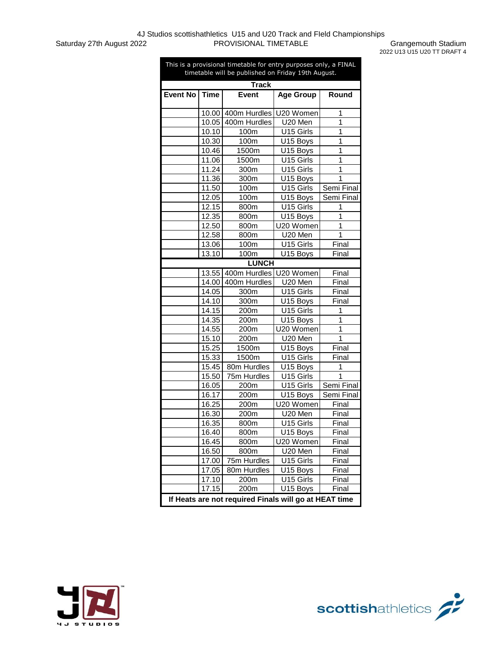2022 U13 U15 U20 TT DRAFT 4

|              |             | timetable will be published on Friday 19th August. |                         |            |
|--------------|-------------|----------------------------------------------------|-------------------------|------------|
| <b>Track</b> |             |                                                    |                         |            |
| Event No     | <b>Time</b> | Event                                              | <b>Age Group</b>        | Round      |
|              | 10.00       | 400m Hurdles                                       | U20 Women               | 1          |
|              | 10.05       | 400m Hurdles                                       | U20 Men                 | 1          |
|              | 10.10       | 100m                                               | U15 Girls               | 1          |
|              | 10.30       | 100m                                               | U15 Boys                | 1          |
|              | 10.46       | 1500m                                              | U15 Boys                | 1          |
|              | 11.06       | 1500m                                              | U15 Girls               | 1          |
|              | 11.24       | 300m                                               | U15 Girls               | 1          |
|              | 11.36       | 300m                                               | U15 Boys                | 1          |
|              | 11.50       | 100m                                               | $\overline{U}$ 15 Girls | Semi Final |
|              | 12.05       | 100m                                               | U15 Boys                | Semi Final |
|              | 12.15       | 800m                                               | U15 Girls               | 1          |
|              | 12.35       | 800m                                               | U15 Boys                | 1          |
|              | 12.50       | 800m                                               | U20 Women               | 1          |
|              | 12.58       | 800m                                               | U20 Men                 | 1          |
|              | 13.06       | 100m                                               | U <sub>15</sub> Girls   | Final      |
|              | 13.10       | 100m                                               | U15 Boys                | Final      |
|              |             | <b>LUNCH</b>                                       |                         |            |
|              | 13.55       | 400m Hurdles                                       | U20 Women               | Final      |
|              | 14.00       | 400m Hurdles                                       | U20 Men                 | Final      |
|              | 14.05       | 300m                                               | U15 Girls               | Final      |
|              | 14.10       | 300m                                               | U15 Boys                | Final      |
|              | 14.15       | 200m                                               | $\overline{U}$ 15 Girls | 1          |
|              | 14.35       | 200m                                               | U15 Boys                | 1          |
|              | 14.55       | 200m                                               | U20 Women               | 1          |
|              | 15.10       | 200m                                               | U20 Men                 | 1          |
|              | 15.25       | 1500m                                              | U15 Boys                | Final      |
|              | 15.33       | 1500m                                              | U15 Girls               | Final      |
|              | 15.45       | 80m Hurdles                                        | U15 Boys                | 1          |
|              | 15.50       | 75m Hurdles                                        | U15 Girls               | 1          |
|              | 16.05       | 200m                                               | U15 Girls               | Semi Final |
|              | 16.17       | 200m                                               | U15 Boys                | Semi Final |
|              | 16.25       | 200m                                               | U20 Women               | Final      |
|              | 16.30       | 200m                                               | U20 Men                 | Final      |
|              | 16.35       | 800m                                               | U15 Girls               | Final      |
|              | 16.40       | 800m                                               | U15 Boys                | Final      |
|              | 16.45       | 800m                                               | U20 Women               | Final      |
|              | 16.50       | 800m                                               | U20 Men                 | Final      |
|              | 17.00       | 75m Hurdles                                        | U15 Girls               | Final      |
|              | 17.05       | 80m Hurdles                                        | U15 Boys                | Final      |
|              | 17.10       | 200m                                               | U15 Girls               | Final      |
|              | 17.15       | 200m                                               | U15 Boys                | Final      |



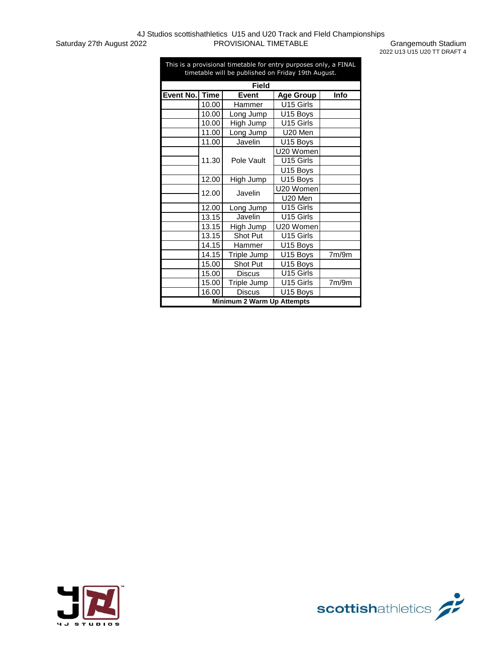This is a provisional timetable for entry purposes only, a FINAL

| ີ<br>$, \, \nu$ as $\nu$ and $\sigma$ and $\sigma$<br>timetable will be published on Friday 19th August. |             |                 |                       |       |
|----------------------------------------------------------------------------------------------------------|-------------|-----------------|-----------------------|-------|
|                                                                                                          |             | <b>Field</b>    |                       |       |
| Event No.                                                                                                | <b>Time</b> | <b>Event</b>    | <b>Age Group</b>      | Info  |
|                                                                                                          | 10.00       | Hammer          | U15 Girls             |       |
|                                                                                                          | 10.00       | Long Jump       | U15 Boys              |       |
|                                                                                                          | 10.00       | High Jump       | U15 Girls             |       |
|                                                                                                          | 11.00       | Long Jump       | U20 Men               |       |
|                                                                                                          | 11.00       | Javelin         | U15 Boys              |       |
|                                                                                                          | 11.30       |                 | U20 Women             |       |
|                                                                                                          |             | Pole Vault      | U15 Girls             |       |
|                                                                                                          |             |                 | U15 Boys              |       |
|                                                                                                          | 12.00       | High Jump       | U15 Boys              |       |
|                                                                                                          | 12.00       | Javelin         | U20 Women             |       |
|                                                                                                          |             |                 | U20 Men               |       |
|                                                                                                          | 12.00       | Long Jump       | U15 Girls             |       |
|                                                                                                          | 13.15       | Javelin         | U <sub>15</sub> Girls |       |
|                                                                                                          | 13.15       | High Jump       | U20 Women             |       |
|                                                                                                          | 13.15       | <b>Shot Put</b> | U15 Girls             |       |
|                                                                                                          | 14.15       | Hammer          | U15 Boys              |       |
|                                                                                                          | 14.15       | Triple Jump     | U15 Boys              | 7m/9m |
|                                                                                                          | 15.00       | Shot Put        | U15 Boys              |       |
|                                                                                                          | 15.00       | <b>Discus</b>   | U15 Girls             |       |
|                                                                                                          | 15.00       | Triple Jump     | U15 Girls             | 7m/9m |
|                                                                                                          | 16.00       | <b>Discus</b>   | U <sub>15</sub> Boys  |       |
| Minimum 2 Warm Up Attempts                                                                               |             |                 |                       |       |



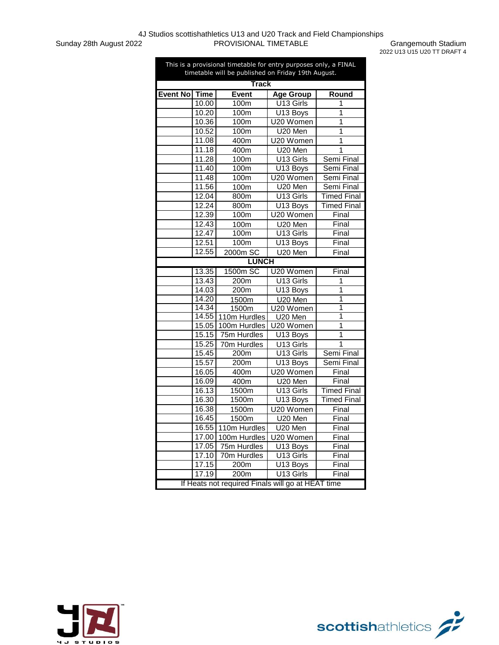## 4J Studios scottishathletics U13 and U20 Track and Field Championships PROVISIONAL TIMETABLE Grangemouth Stadium

| This is a provisional timetable for entry purposes only, a FINAL<br>timetable will be published on Friday 19th August. |             |                                                   |                  |                    |
|------------------------------------------------------------------------------------------------------------------------|-------------|---------------------------------------------------|------------------|--------------------|
|                                                                                                                        |             | <b>Track</b>                                      |                  |                    |
| Event No                                                                                                               | <b>Time</b> | <b>Event</b>                                      | <b>Age Group</b> | Round              |
|                                                                                                                        | 10.00       | 100m                                              | U13 Girls        | 1                  |
|                                                                                                                        | 10.20       | 100m                                              | U13 Boys         | 1                  |
|                                                                                                                        | 10.36       | 100m                                              | U20 Women        | 1                  |
|                                                                                                                        | 10.52       | 100m                                              | U20 Men          | 1                  |
|                                                                                                                        | 11.08       | 400m                                              | U20 Women        | 1                  |
|                                                                                                                        | 11.18       | 400m                                              | U20 Men          | 1                  |
|                                                                                                                        | 11.28       | 100m                                              | U13 Girls        | Semi Final         |
|                                                                                                                        | 11.40       | 100m                                              | U13 Boys         | Semi Final         |
|                                                                                                                        | 11.48       | 100m                                              | U20 Women        | Semi Final         |
|                                                                                                                        | 11.56       | 100m                                              | U20 Men          | Semi Final         |
|                                                                                                                        | 12.04       | 800m                                              | U13 Girls        | <b>Timed Final</b> |
|                                                                                                                        | 12.24       | 800m                                              | U13 Boys         | <b>Timed Final</b> |
|                                                                                                                        | 12.39       | 100m                                              | U20 Women        | Final              |
|                                                                                                                        | 12.43       | 100m                                              | U20 Men          | Final              |
|                                                                                                                        | 12.47       | 100m                                              | U13 Girls        | Final              |
|                                                                                                                        | 12.51       | 100m                                              | U13 Boys         | Final              |
|                                                                                                                        | 12.55       | $2000m$ SC                                        | U20 Men          | Final              |
|                                                                                                                        |             | <b>LUNCH</b>                                      |                  |                    |
|                                                                                                                        | 13.35       | 1500m SC                                          | U20 Women        | Final              |
|                                                                                                                        | 13.43       | 200m                                              | U13 Girls        | 1                  |
|                                                                                                                        | 14.03       | 200m                                              | U13 Boys         | 1                  |
|                                                                                                                        | 14.20       | 1500m                                             | U20 Men          | 1                  |
|                                                                                                                        | 14.34       | 1500m                                             | U20 Women        | 1                  |
|                                                                                                                        | 14.55       | 110m Hurdles                                      | U20 Men          | 1                  |
|                                                                                                                        | 15.05       | 100m Hurdles                                      | U20 Women        | 1                  |
|                                                                                                                        | 15.15       | 75m Hurdles                                       | U13 Boys         | 1                  |
|                                                                                                                        | 15.25       | 70m Hurdles                                       | U13 Girls        | 1                  |
|                                                                                                                        | 15.45       | 200m                                              | U13 Girls        | Semi Final         |
|                                                                                                                        | 15.57       | 200m                                              | U13 Boys         | Semi Final         |
|                                                                                                                        | 16.05       | 400m                                              | U20 Women        | Final              |
|                                                                                                                        | 16.09       | 400m                                              | U20 Men          | Final              |
|                                                                                                                        | 16.13       | 1500m                                             | U13 Girls        | <b>Timed Final</b> |
|                                                                                                                        | 16.30       | 1500m                                             | U13 Boys         | <b>Timed Final</b> |
|                                                                                                                        | 16.38       | 1500m                                             | U20 Women        | Final              |
|                                                                                                                        | 16.45       | 1500m                                             | U20 Men          | Final              |
|                                                                                                                        | 16.55       | 110m Hurdles                                      | U20 Men          | Final              |
|                                                                                                                        | 17.00       | 100m Hurdles                                      | U20 Women        | Final              |
|                                                                                                                        | 17.05       | 75m Hurdles                                       | U13 Boys         | Final              |
|                                                                                                                        | 17.10       | 70m Hurdles                                       | U13 Girls        | Final              |
|                                                                                                                        | 17.15       | 200m                                              | U13 Boys         | Final              |
|                                                                                                                        | 17.19       | 200m                                              | U13 Girls        | Final              |
|                                                                                                                        |             | If Heats not required Finals will go at HEAT time |                  |                    |